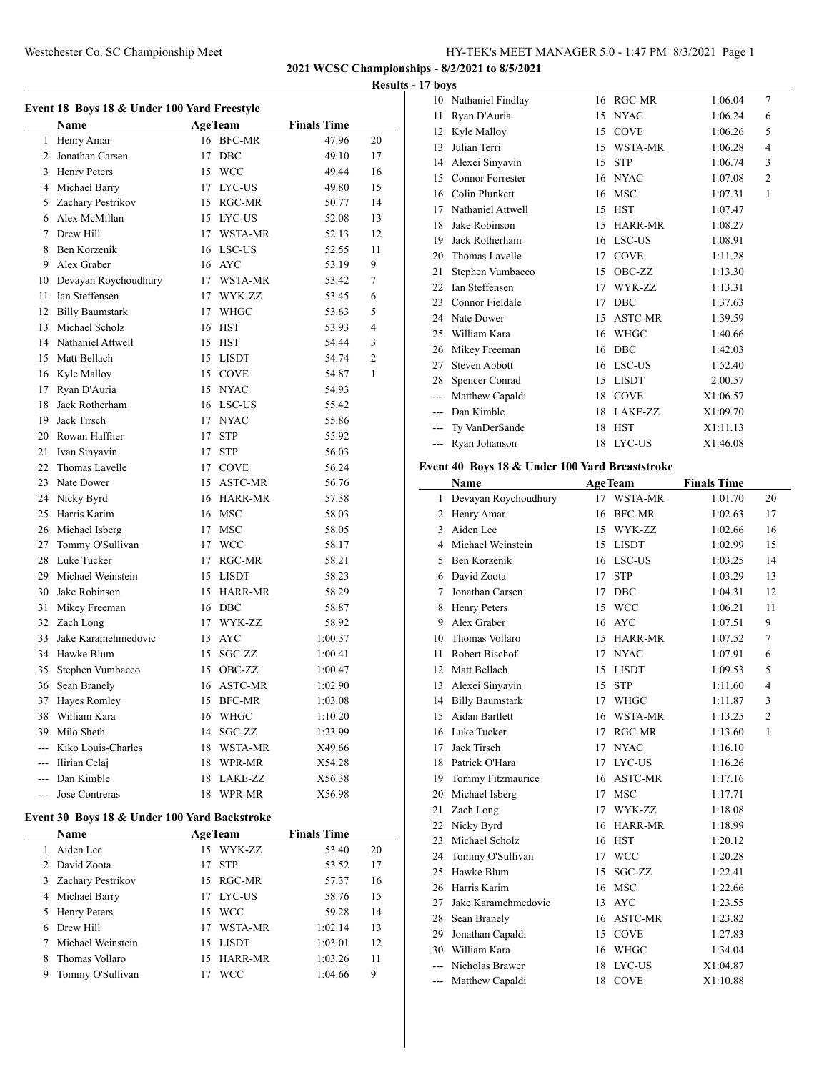Nathaniel Findlay 16 RGC-MR 1:06.04 7

**2021 WCSC Championships - 8/2/2021 to 8/5/2021**

**Results - 17 boys**

| Event 18 Boys 18 & Under 100 Yard Freestyle                    |                        |    |                |                    |    |
|----------------------------------------------------------------|------------------------|----|----------------|--------------------|----|
|                                                                | <b>Name</b>            |    | <b>AgeTeam</b> | <b>Finals Time</b> |    |
| 1                                                              | Henry Amar             |    | 16 BFC-MR      | 47.96              | 20 |
| 2                                                              | Jonathan Carsen        | 17 | DBC            | 49.10              | 17 |
| 3                                                              | <b>Henry Peters</b>    |    | 15 WCC         | 49.44              | 16 |
| 4                                                              | Michael Barry          |    | 17 LYC-US      | 49.80              | 15 |
| 5                                                              | Zachary Pestrikov      |    | 15 RGC-MR      | 50.77              | 14 |
| 6                                                              | Alex McMillan          |    | 15 LYC-US      | 52.08              | 13 |
| 7                                                              | Drew Hill              |    | 17 WSTA-MR     | 52.13              | 12 |
| 8                                                              | Ben Korzenik           |    | 16 LSC-US      | 52.55              | 11 |
| 9                                                              | Alex Graber            |    | 16 AYC         | 53.19              | 9  |
| 10                                                             | Devayan Roychoudhury   |    | 17 WSTA-MR     | 53.42              | 7  |
| 11                                                             | Ian Steffensen         |    | 17 WYK-ZZ      | 53.45              | 6  |
| 12                                                             | <b>Billy Baumstark</b> |    | 17 WHGC        | 53.63              | 5  |
| 13                                                             | Michael Scholz         |    | 16 HST         | 53.93              | 4  |
| 14                                                             | Nathaniel Attwell      |    | 15 HST         | 54.44              | 3  |
| 15                                                             | Matt Bellach           |    | 15 LISDT       | 54.74              | 2  |
| 16                                                             | Kyle Malloy            |    | 15 COVE        | 54.87              | 1  |
| 17                                                             | Ryan D'Auria           |    | 15 NYAC        | 54.93              |    |
| 18                                                             | Jack Rotherham         |    | 16 LSC-US      | 55.42              |    |
| 19                                                             | Jack Tirsch            |    | 17 NYAC        | 55.86              |    |
| 20                                                             | Rowan Haffner          |    | 17 STP         | 55.92              |    |
| 21                                                             | Ivan Sinyavin          | 17 | <b>STP</b>     | 56.03              |    |
| 22                                                             | Thomas Lavelle         |    | 17 COVE        | 56.24              |    |
| 23                                                             | Nate Dower             |    | 15 ASTC-MR     | 56.76              |    |
| 24                                                             | Nicky Byrd             |    | 16 HARR-MR     | 57.38              |    |
| 25                                                             | Harris Karim           |    | 16 MSC         | 58.03              |    |
| 26                                                             | Michael Isberg         |    | 17 MSC         | 58.05              |    |
| 27                                                             | Tommy O'Sullivan       |    | 17 WCC         | 58.17              |    |
| 28                                                             | Luke Tucker            |    | 17 RGC-MR      | 58.21              |    |
| 29                                                             | Michael Weinstein      |    | 15 LISDT       | 58.23              |    |
| 30                                                             | Jake Robinson          |    | 15 HARR-MR     | 58.29              |    |
| 31                                                             | Mikey Freeman          |    | 16 DBC         | 58.87              |    |
|                                                                | 32 Zach Long           |    | 17 WYK-ZZ      | 58.92              |    |
| 33                                                             | Jake Karamehmedovic    |    | 13 AYC         | 1:00.37            |    |
|                                                                | 34 Hawke Blum          |    | 15 SGC-ZZ      | 1:00.41            |    |
| 35                                                             | Stephen Vumbacco       |    | 15 OBC-ZZ      | 1:00.47            |    |
| 36                                                             | Sean Branely           |    | 16 ASTC-MR     | 1:02.90            |    |
|                                                                | 37 Haves Romley        |    | 15 BFC-MR      | 1:03.08            |    |
|                                                                | 38 William Kara        |    | 16 WHGC        | 1:10.20            |    |
|                                                                | 39 Milo Sheth          | 14 | SGC-ZZ         | 1:23.99            |    |
|                                                                | --- Kiko Louis-Charles |    | 18 WSTA-MR     | X49.66             |    |
|                                                                | --- Ilirian Celaj      |    | 18 WPR-MR      | X54.28             |    |
|                                                                | --- Dan Kimble         |    | 18 LAKE-ZZ     | X56.38             |    |
|                                                                | --- Jose Contreras     | 18 | WPR-MR         | X56.98             |    |
|                                                                |                        |    |                |                    |    |
| Event 30 Boys 18 & Under 100 Yard Backstroke<br><b>AgeTeam</b> |                        |    |                |                    |    |
|                                                                | Name                   |    |                | <b>Finals Time</b> |    |

|   | Name                | <b>Age Team</b> | <b>Finals</b> Time |    |  |
|---|---------------------|-----------------|--------------------|----|--|
|   | 1 Aiden Lee         | 15 WYK-ZZ       | 53.40              | 20 |  |
|   | 2 David Zoota       | 17 STP          | 53.52              | 17 |  |
|   | 3 Zachary Pestrikov | 15 RGC-MR       | 57.37              | 16 |  |
|   | 4 Michael Barry     | 17 LYC-US       | 58.76              | 15 |  |
|   | 5 Henry Peters      | 15 WCC          | 59.28              | 14 |  |
|   | 6 Drew Hill         | 17 WSTA-MR      | 1:02.14            | 13 |  |
|   | 7 Michael Weinstein | 15 LISDT        | 1:03.01            | 12 |  |
|   | 8 Thomas Vollaro    | 15 HARR-MR      | 1:03.26            | 11 |  |
| 9 | Tommy O'Sullivan    | <b>WCC</b>      | 1:04.66            | 9  |  |
|   |                     |                 |                    |    |  |

| 11    |                                                |    |                |                    |                |
|-------|------------------------------------------------|----|----------------|--------------------|----------------|
|       | Ryan D'Auria                                   | 15 | <b>NYAC</b>    | 1:06.24            | 6              |
| 12    | Kyle Malloy                                    |    | 15 COVE        | 1:06.26            | 5              |
| 13    | Julian Terri                                   | 15 | WSTA-MR        | 1:06.28            | 4              |
| 14    | Alexei Sinyavin                                | 15 | <b>STP</b>     | 1:06.74            | 3              |
| 15    | Connor Forrester                               |    | 16 NYAC        | 1:07.08            | $\overline{c}$ |
|       | 16 Colin Plunkett                              | 16 | <b>MSC</b>     | 1:07.31            | 1              |
|       | 17 Nathaniel Attwell                           | 15 | HST            | 1:07.47            |                |
| 18    | Jake Robinson                                  | 15 | HARR-MR        | 1:08.27            |                |
| 19    | Jack Rotherham                                 | 16 | LSC-US         | 1:08.91            |                |
| 20    | Thomas Lavelle                                 | 17 | <b>COVE</b>    | 1:11.28            |                |
| 21    | Stephen Vumbacco                               | 15 | OBC-ZZ         | 1:13.30            |                |
| 22    | Ian Steffensen                                 | 17 | WYK-ZZ         | 1:13.31            |                |
| 23    | Connor Fieldale                                | 17 | DBC            | 1:37.63            |                |
|       | 24 Nate Dower                                  | 15 | ASTC-MR        | 1:39.59            |                |
| 25    | William Kara                                   | 16 | WHGC           | 1:40.66            |                |
| 26    | Mikey Freeman                                  | 16 | <b>DBC</b>     | 1:42.03            |                |
| 27    | Steven Abbott                                  | 16 | LSC-US         | 1:52.40            |                |
| 28    | Spencer Conrad                                 | 15 | LISDT          | 2:00.57            |                |
| $---$ | Matthew Capaldi                                | 18 | <b>COVE</b>    | X1:06.57           |                |
|       | --- Dan Kimble                                 | 18 | LAKE-ZZ        | X1:09.70           |                |
| ---   | Ty VanDerSande                                 | 18 | <b>HST</b>     | X1:11.13           |                |
| $---$ | Ryan Johanson                                  | 18 | <b>LYC-US</b>  | X1:46.08           |                |
|       |                                                |    |                |                    |                |
|       | Event 40 Boys 18 & Under 100 Yard Breaststroke |    |                |                    |                |
|       | Name                                           |    | <b>AgeTeam</b> | <b>Finals Time</b> |                |
|       | 1 Devayan Roychoudhury                         |    | 17 WSTA-MR     | 1:01.70            | 20             |
| 2     | Henry Amar                                     | 16 | BFC-MR         | 1:02.63            | 17             |
| 3     | Aiden Lee                                      |    | 15 WYK-ZZ      | 1:02.66            | 16             |
|       | 4 Michael Weinstein                            | 15 | <b>LISDT</b>   | 1:02.99            | 15             |
|       |                                                |    |                |                    |                |
| 5     | Ben Korzenik                                   |    | 16 LSC-US      | 1:03.25            | 14             |
|       | 6 David Zoota                                  | 17 | <b>STP</b>     | 1:03.29            | 13             |
| 7     | Jonathan Carsen                                | 17 | DBC            | 1:04.31            | 12             |
| 8     | Henry Peters                                   | 15 | <b>WCC</b>     | 1:06.21            | 11             |
| 9     | Alex Graber                                    | 16 | AYC            | 1:07.51            | 9              |
| 10    | Thomas Vollaro                                 | 15 | HARR-MR        | 1:07.52            | 7              |
| 11    | Robert Bischof                                 | 17 | NYAC           | 1:07.91            | 6              |
| 12    | Matt Bellach                                   | 15 | <b>LISDT</b>   | 1:09.53            | 5              |
| 13    | Alexei Sinyavin                                | 15 | <b>STP</b>     | 1:11.60            | 4              |
|       | 14 Billy Baumstark                             | 17 | WHGC           | 1:11.87            | 3              |
|       | 15 Aidan Bartlett                              |    | 16 WSTA-MR     | 1:13.25            | $\overline{2}$ |
|       | 16 Luke Tucker                                 |    | 17 RGC-MR      | 1:13.60            | 1              |
|       | 17 Jack Tirsch                                 | 17 | <b>NYAC</b>    | 1:16.10            |                |
| 18    | Patrick O'Hara                                 | 17 | LYC-US         | 1:16.26            |                |
|       | 19 Tommy Fitzmaurice                           |    | 16 ASTC-MR     | 1:17.16            |                |
| 20    | Michael Isberg                                 | 17 | <b>MSC</b>     | 1:17.71            |                |
| 21    | Zach Long                                      |    | 17 WYK-ZZ      | 1:18.08            |                |
| 22    | Nicky Byrd                                     | 16 | HARR-MR        | 1:18.99            |                |
| 23    | Michael Scholz                                 | 16 | <b>HST</b>     | 1:20.12            |                |
| 24    | Tommy O'Sullivan                               | 17 | <b>WCC</b>     | 1:20.28            |                |
| 25    | Hawke Blum                                     | 15 | SGC-ZZ         | 1:22.41            |                |
| 26    | Harris Karim                                   | 16 | <b>MSC</b>     | 1:22.66            |                |
| 27    | Jake Karamehmedovic                            | 13 | <b>AYC</b>     | 1:23.55            |                |
| 28    | Sean Branely                                   | 16 | ASTC-MR        | 1:23.82            |                |
|       | 29 Jonathan Capaldi                            |    | 15 COVE        | 1:27.83            |                |
|       | 30 William Kara                                |    | 16 WHGC        | 1:34.04            |                |
|       | --- Nicholas Brawer                            | 18 | LYC-US         | X1:04.87           |                |